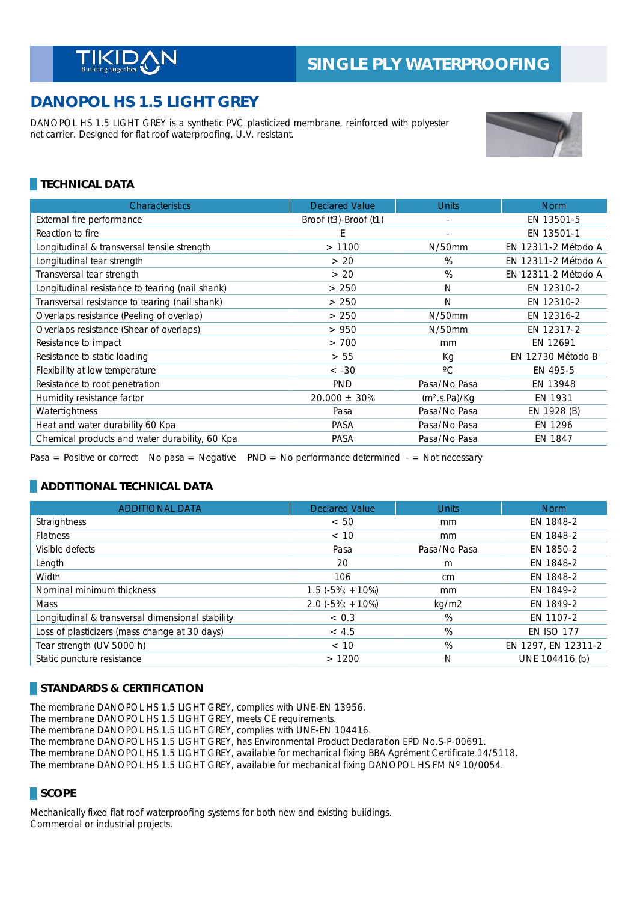# **DANOPOL HS 1.5 LIGHT GREY**

DANOPOL HS 1.5 LIGHT GREY is a synthetic PVC plasticized membrane, reinforced with polyester net carrier. Designed for flat roof waterproofing, U.V. resistant.



## **TECHNICAL DATA**

| <b>Characteristics</b>                          | <b>Declared Value</b> | <b>Units</b>              | <b>Norm</b>         |
|-------------------------------------------------|-----------------------|---------------------------|---------------------|
| External fire performance                       | Broof (t3)-Broof (t1) |                           | EN 13501-5          |
| Reaction to fire                                | E                     | ٠                         | EN 13501-1          |
| Longitudinal & transversal tensile strength     | >1100                 | $N/50$ mm                 | EN 12311-2 Método A |
| Longitudinal tear strength                      | > 20                  | $\%$                      | EN 12311-2 Método A |
| Transversal tear strength                       | > 20                  | %                         | EN 12311-2 Método A |
| Longitudinal resistance to tearing (nail shank) | > 250                 | N                         | EN 12310-2          |
| Transversal resistance to tearing (nail shank)  | > 250                 | N                         | EN 12310-2          |
| Overlaps resistance (Peeling of overlap)        | > 250                 | $N/50$ mm                 | EN 12316-2          |
| Overlaps resistance (Shear of overlaps)         | > 950                 | N/50mm                    | EN 12317-2          |
| Resistance to impact                            | > 700                 | mm                        | EN 12691            |
| Resistance to static loading                    | > 55                  | Кq                        | EN 12730 Método B   |
| Flexibility at low temperature                  | $< -30$               | $\rm ^{\circ}C$           | EN 495-5            |
| Resistance to root penetration                  | <b>PND</b>            | Pasa/No Pasa              | EN 13948            |
| Humidity resistance factor                      | $20.000 \pm 30\%$     | (m <sup>2</sup> .s.Pa)/Kg | EN 1931             |
| Watertightness                                  | Pasa                  | Pasa/No Pasa              | EN 1928 (B)         |
| Heat and water durability 60 Kpa                | <b>PASA</b>           | Pasa/No Pasa              | EN 1296             |
| Chemical products and water durability, 60 Kpa  | PASA                  | Pasa/No Pasa              | EN 1847             |

Pasa = Positive or correct No pasa = Negative PND = No performance determined  $-$  = Not necessary

#### **ADDTITIONAL TECHNICAL DATA**

| <b>ADDITIONAL DATA</b>                           | <b>Declared Value</b> | <b>Units</b> | <b>Norm</b>         |
|--------------------------------------------------|-----------------------|--------------|---------------------|
| Straightness                                     | < 50                  | mm           | EN 1848-2           |
| <b>Flatness</b>                                  | < 10                  | mm           | EN 1848-2           |
| Visible defects                                  | Pasa                  | Pasa/No Pasa | EN 1850-2           |
| Length                                           | 20                    | m            | EN 1848-2           |
| Width                                            | 106                   | cm           | EN 1848-2           |
| Nominal minimum thickness                        | $1.5(-5\%; +10\%)$    | mm           | EN 1849-2           |
| <b>Mass</b>                                      | $2.0$ (-5%; +10%)     | kg/m2        | EN 1849-2           |
| Longitudinal & transversal dimensional stability | < 0.3                 | %            | EN 1107-2           |
| Loss of plasticizers (mass change at 30 days)    | < 4.5                 | %            | <b>EN ISO 177</b>   |
| Tear strength (UV 5000 h)                        | < 10                  | %            | EN 1297, EN 12311-2 |
| Static puncture resistance                       | >1200                 | N            | UNE 104416 (b)      |

#### **STANDARDS & CERTIFICATION**

The membrane DANOPOL HS 1.5 LIGHT GREY, complies with UNE-EN 13956. The membrane DANOPOL HS 1.5 LIGHT GREY, meets CE requirements. The membrane DANOPOL HS 1.5 LIGHT GREY, complies with UNE-EN 104416. The membrane DANOPOL HS 1.5 LIGHT GREY, has Environmental Product Declaration EPD No.S-P-00691. The membrane DANOPOL HS 1.5 LIGHT GREY, available for mechanical fixing BBA Agrément Certificate 14/5118. The membrane DANOPOL HS 1.5 LIGHT GREY, available for mechanical fixing DANOPOL HS FM Nº 10/0054.

#### **SCOPE**

Mechanically fixed flat roof waterproofing systems for both new and existing buildings. Commercial or industrial projects.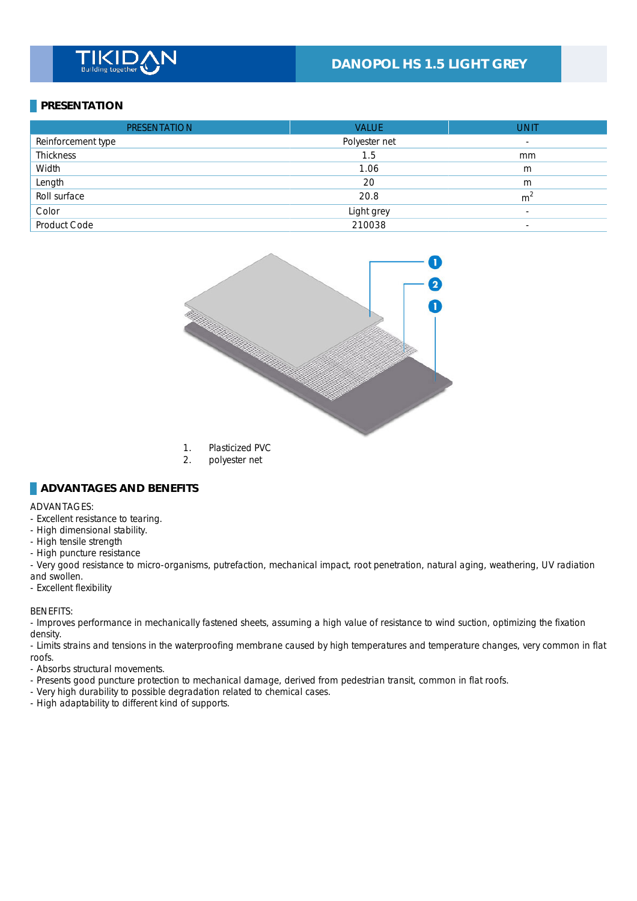## **DANOPOL HS 1.5 LIGHT GREY**

## **PRESENTATION**

| <b>PRESENTATION</b> | <b>VALUE</b>  | <b>UNIT</b>              |
|---------------------|---------------|--------------------------|
| Reinforcement type  | Polyester net | $\overline{\phantom{a}}$ |
| <b>Thickness</b>    | 1.5           | mm                       |
| Width               | 1.06          | m                        |
| Length              | 20            | m                        |
| Roll surface        | 20.8          | m <sup>2</sup>           |
| Color               | Light grey    | $\overline{\phantom{a}}$ |
| Product Code        | 210038        | $\overline{\phantom{a}}$ |



- 1. Plasticized PVC
- 2. polyester net

#### **ADVANTAGES AND BENEFITS**

#### ADVANTAGES: \_

- Excellent resistance to tearing.
- High dimensional stability.
- High tensile strength
- High puncture resistance

- Very good resistance to micro-organisms, putrefaction, mechanical impact, root penetration, natural aging, weathering, UV radiation and swollen.

- Excellent flexibility

#### BENEFITS: \_

- Improves performance in mechanically fastened sheets, assuming a high value of resistance to wind suction, optimizing the fixation density.

- Limits strains and tensions in the waterproofing membrane caused by high temperatures and temperature changes, very common in flat roofs. \_

- Absorbs structural movements.

- Presents good puncture protection to mechanical damage, derived from pedestrian transit, common in flat roofs.
- Very high durability to possible degradation related to chemical cases.
- High adaptability to different kind of supports.